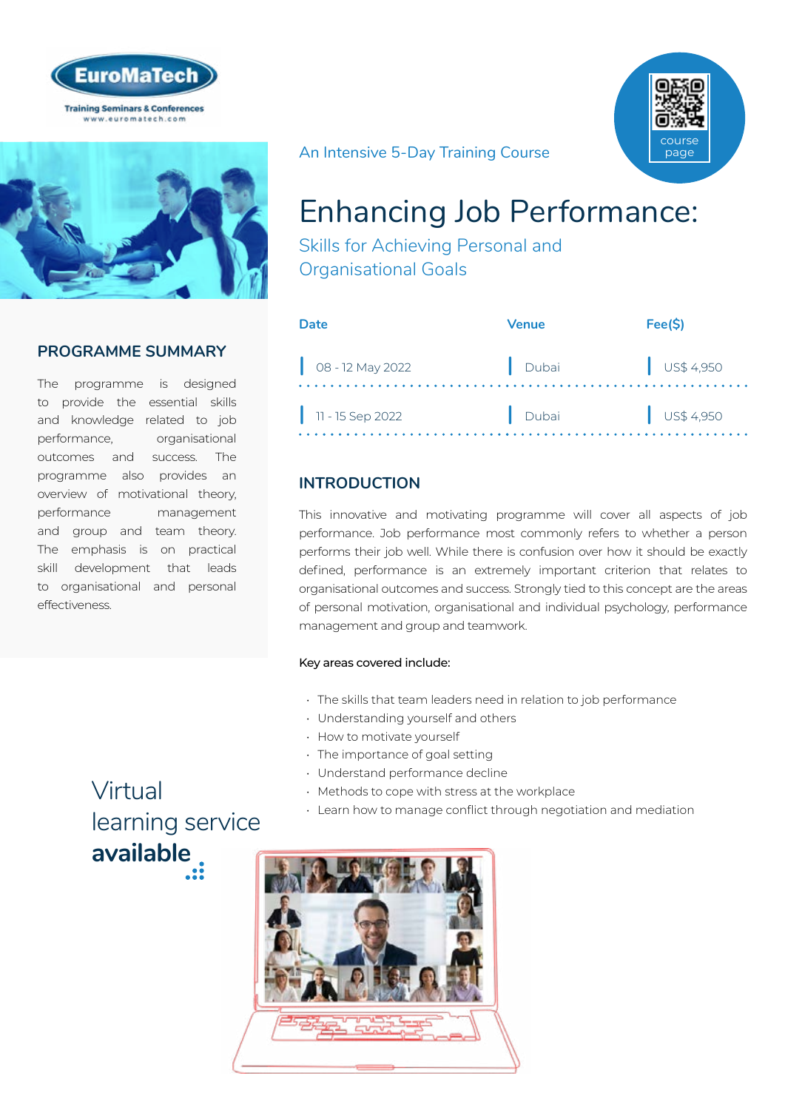



## **PROGRAMME SUMMARY**

The programme is designed to provide the essential skills and knowledge related to job performance, organisational outcomes and success. The programme also provides an overview of motivational theory, performance management and group and team theory. The emphasis is on practical skill development that leads to organisational and personal effectiveness.

## An Intensive 5-Day Training Course



# Enhancing Job Performance:

Skills for Achieving Personal and Organisational Goals

| Date                        | Venue | Fee(S)               |
|-----------------------------|-------|----------------------|
| $\bigcirc$ 08 - 12 May 2022 | Dubai | $\bigcup$ US\$ 4,950 |
| $\vert$ 11 - 15 Sep 2022    | Dubai | $\bigcup$ US\$ 4,950 |

## **INTRODUCTION**

This innovative and motivating programme will cover all aspects of job performance. Job performance most commonly refers to whether a person performs their job well. While there is confusion over how it should be exactly defined, performance is an extremely important criterion that relates to organisational outcomes and success. Strongly tied to this concept are the areas of personal motivation, organisational and individual psychology, performance management and group and teamwork.

### Key areas covered include:

- The skills that team leaders need in relation to job performance
- Understanding yourself and others
- How to motivate yourself
- The importance of goal setting
- Understand performance decline
- Methods to cope with stress at the workplace
- Learn how to manage conflict through negotiation and mediation



# Virtual [learning service](https://www.euromatech.com/seminars/enhancing-job-performance-skills-for-achieving-personal-and-organisational-goals-1/)  **available**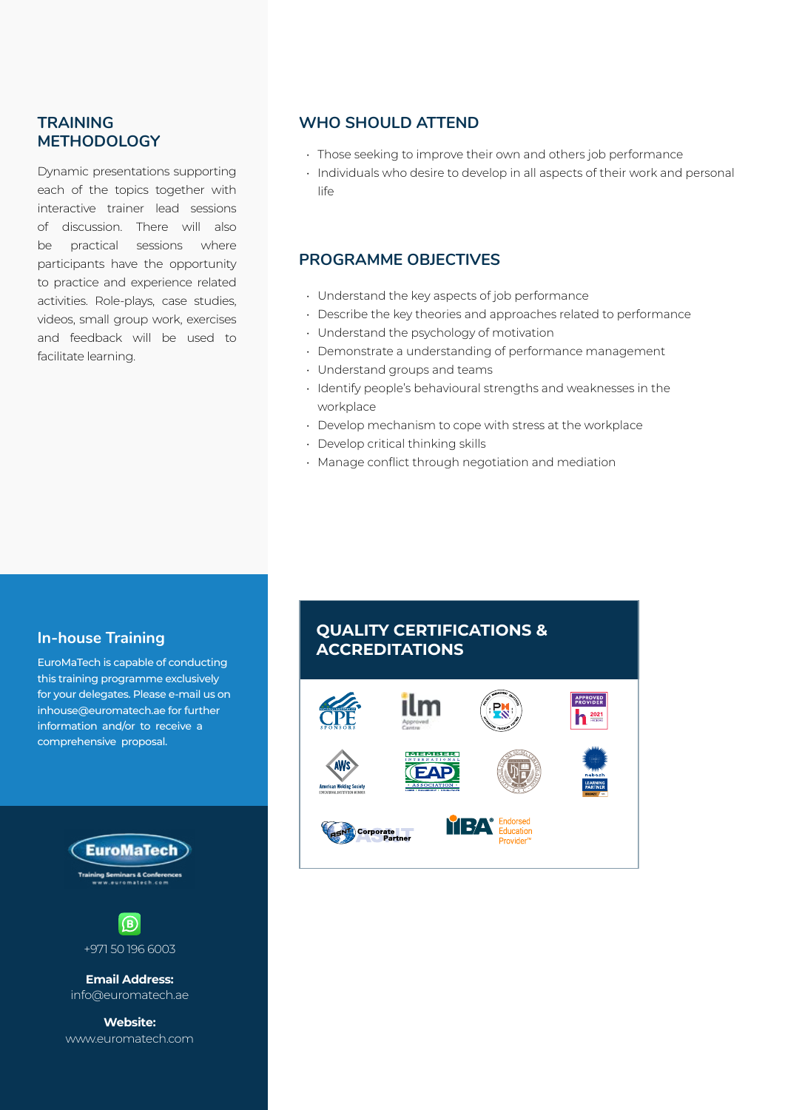## **TRAINING METHODOLOGY**

Dynamic presentations supporting each of the topics together with interactive trainer lead sessions of discussion. There will also be practical sessions where participants have the opportunity to practice and experience related activities. Role-plays, case studies, videos, small group work, exercises and feedback will be used to facilitate learning.

## **WHO SHOULD ATTEND**

- Those seeking to improve their own and others job performance
- Individuals who desire to develop in all aspects of their work and personal life

## **PROGRAMME OBJECTIVES**

- Understand the key aspects of job performance
- Describe the key theories and approaches related to performance
- Understand the psychology of motivation
- Demonstrate a understanding of performance management
- Understand groups and teams
- Identify people's behavioural strengths and weaknesses in the workplace
- Develop mechanism to cope with stress at the workplace
- Develop critical thinking skills
- Manage conflict through negotiation and mediation

## **In-house Training**

EuroMaTech is capable of conducting this training programme exclusively for your delegates. Please e-mail us on inhouse@euromatech.ae for further information and/or to receive a comprehensive proposal.





+971 50 196 6003

**Email Address:** info@euromatech.ae

**Website:** www.euromatech.com

## **QUALITY CERTIFICATIONS & ACCREDITATIONS**

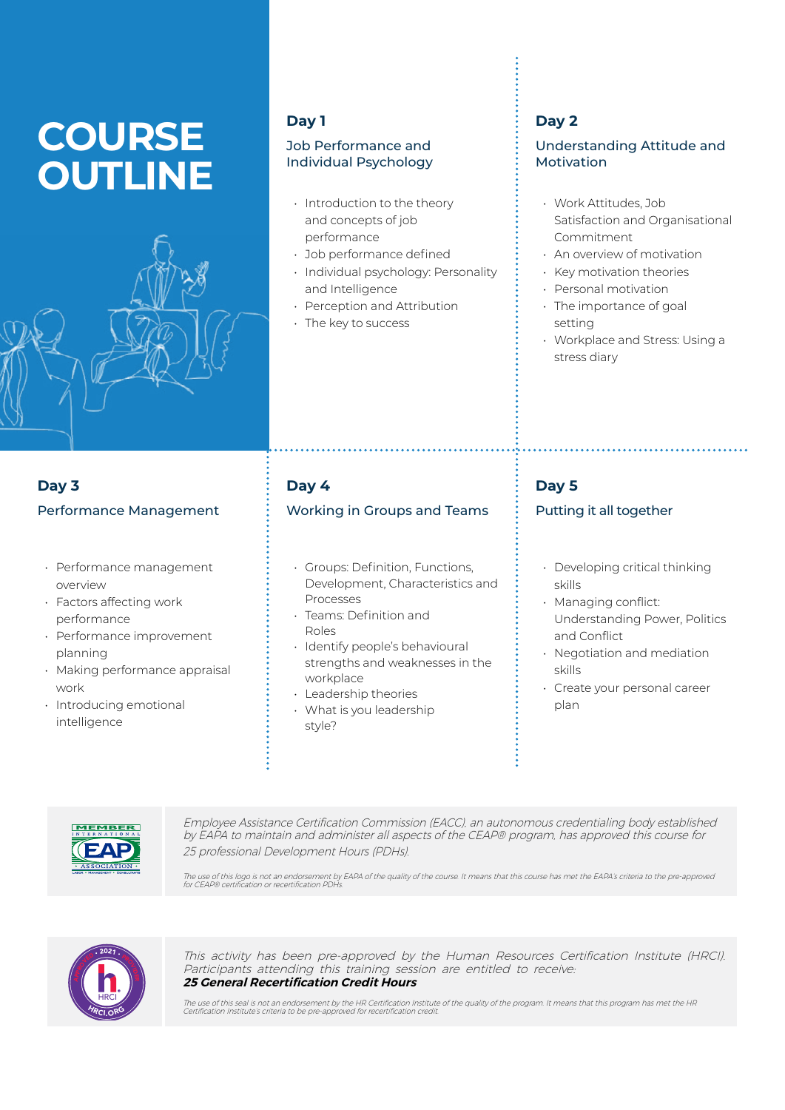# **COURSE OUTLINE**



## **Day 1**

## Job Performance and Individual Psychology

- Introduction to the theory and concepts of job performance
- Job performance defined
- Individual psychology: Personality and Intelligence
- Perception and Attribution
- The key to success

## **Day 2**

## Understanding Attitude and Motivation

- Work Attitudes, Job Satisfaction and Organisational Commitment
- An overview of motivation
- Key motivation theories
- Personal motivation
- The importance of goal setting
- Workplace and Stress: Using a stress diary

## **Day 3** Performance Management

- Performance management overview
- Factors affecting work performance
- Performance improvement planning
- Making performance appraisal work
- Introducing emotional intelligence

## **Day 4**

## Working in Groups and Teams

- Groups: Definition, Functions, Development, Characteristics and Processes
- Teams: Definition and Roles
- Identify people's behavioural strengths and weaknesses in the workplace
- Leadership theories
- What is you leadership style?

## **Day 5**

## Putting it all together

- Developing critical thinking skills
- Managing conflict: Understanding Power, Politics and Conflict
- Negotiation and mediation skills
- Create your personal career plan



Employee Assistance Certification Commission (EACC), an autonomous credentialing body established by EAPA to maintain and administer all aspects of the CEAP® program, has approved this course for 25 professional Development Hours (PDHs).

The use of this logo is not an endorsement by EAPA of the quality of the course. It means that this course has met the EAPA's criteria to the pre-approved<br>for CEAP® certification or recertification PDHs.



This activity has been pre-approved by the Human Resources Certification Institute (HRCI). Participants attending this training session are entitled to receive: **25 General Recertification Credit Hours**

The use of this seal is not an endorsement by the HR Certification Institute of the quality of the program. It means that this program has met the HR<br>Certification Institute's criteria to be pre-approved for recertificatio